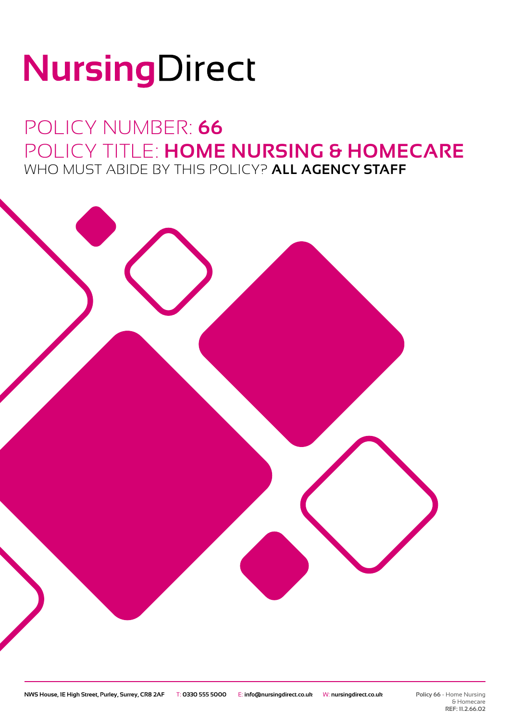# NursingDirect

### POLICY NUMBER: **66** POLICY TITLE: **HOME NURSING & HOMECARE** WHO MUST ABIDE BY THIS POLICY? **ALL AGENCY STAFF**